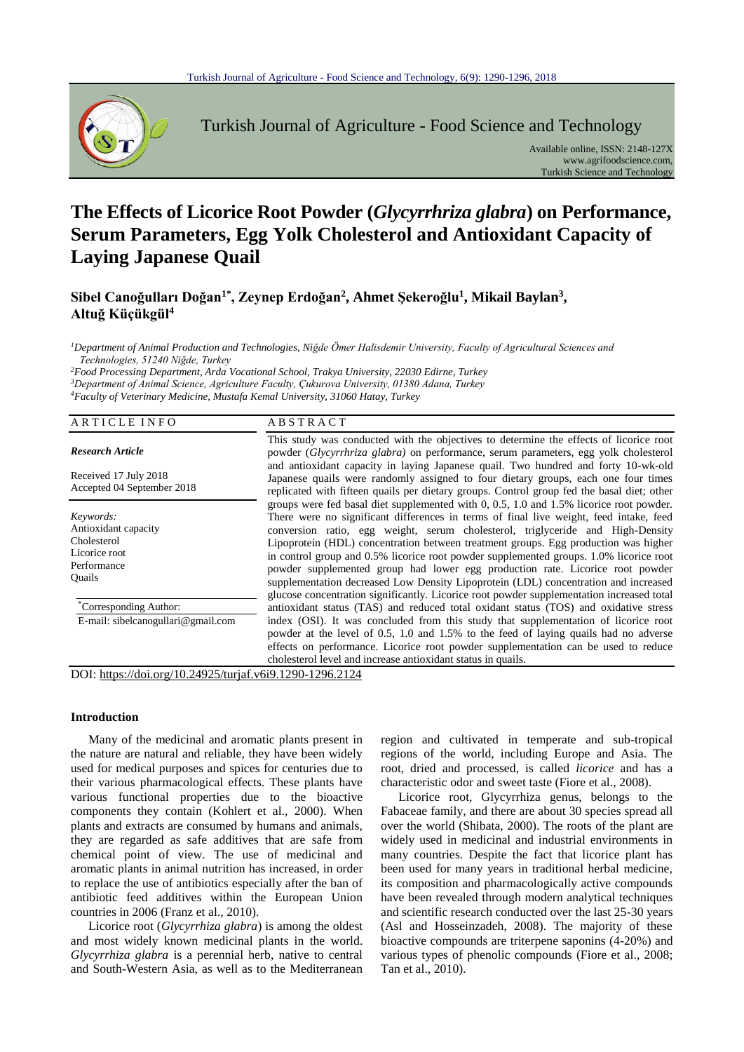

Turkish Journal of Agriculture - Food Science and Technology

Available online, ISSN: 2148-127X www.agrifoodscience.com, Turkish Science and Technology

# **The Effects of Licorice Root Powder (***Glycyrrhriza glabra***) on Performance, Serum Parameters, Egg Yolk Cholesterol and Antioxidant Capacity of Laying Japanese Quail**

**Sibel Canoğulları Doğan1\* , Zeynep Erdoğan<sup>2</sup> , Ahmet Şekeroğlu<sup>1</sup> , Mikail Baylan<sup>3</sup> , Altuğ Küçükgül<sup>4</sup>**

*<sup>1</sup>Department of Animal Production and Technologies, Niğde Ömer Halisdemir University, Faculty of Agricultural Sciences and Technologies, 51240 Niğde, Turkey*

*<sup>2</sup>Food Processing Department, Arda Vocational School, Trakya University, 22030 Edirne, Turkey <sup>3</sup>Department of Animal Science, Agriculture Faculty, Çukurova University, 01380 Adana, Turkey <sup>4</sup>Faculty of Veterinary Medicine, Mustafa Kemal University, 31060 Hatay, Turkey*

| ARTICLE INFO                                                                               | <b>ABSTRACT</b>                                                                                                                                                                                                                                                                                                                                                                                                                                                                                                                                                                                                                                                                                                           |
|--------------------------------------------------------------------------------------------|---------------------------------------------------------------------------------------------------------------------------------------------------------------------------------------------------------------------------------------------------------------------------------------------------------------------------------------------------------------------------------------------------------------------------------------------------------------------------------------------------------------------------------------------------------------------------------------------------------------------------------------------------------------------------------------------------------------------------|
| <b>Research Article</b>                                                                    | This study was conducted with the objectives to determine the effects of licorice root<br>powder <i>(Glycyrrhriza glabra)</i> on performance, serum parameters, egg yolk cholesterol                                                                                                                                                                                                                                                                                                                                                                                                                                                                                                                                      |
| Received 17 July 2018<br>Accepted 04 September 2018                                        | and antioxidant capacity in laying Japanese quail. Two hundred and forty 10-wk-old<br>Japanese quails were randomly assigned to four dietary groups, each one four times<br>replicated with fifteen quails per dietary groups. Control group fed the basal diet; other                                                                                                                                                                                                                                                                                                                                                                                                                                                    |
| Keywords:<br>Antioxidant capacity<br>Cholesterol<br>Licorice root<br>Performance<br>Quails | groups were fed basal diet supplemented with 0, 0.5, 1.0 and 1.5% licorice root powder.<br>There were no significant differences in terms of final live weight, feed intake, feed<br>conversion ratio, egg weight, serum cholesterol, triglyceride and High-Density<br>Lipoprotein (HDL) concentration between treatment groups. Egg production was higher<br>in control group and 0.5% licorice root powder supplemented groups. 1.0% licorice root<br>powder supplemented group had lower egg production rate. Licorice root powder<br>supplementation decreased Low Density Lipoprotein (LDL) concentration and increased<br>glucose concentration significantly. Licorice root powder supplementation increased total |
| <i>Corresponding Author:</i><br>E-mail: sibelcanogullari@gmail.com                         | antioxidant status (TAS) and reduced total oxidant status (TOS) and oxidative stress<br>index (OSI). It was concluded from this study that supplementation of licorice root<br>powder at the level of 0.5, 1.0 and 1.5% to the feed of laying quails had no adverse<br>effects on performance. Licorice root powder supplementation can be used to reduce                                                                                                                                                                                                                                                                                                                                                                 |
|                                                                                            | cholesterol level and increase antioxidant status in quails.                                                                                                                                                                                                                                                                                                                                                                                                                                                                                                                                                                                                                                                              |

DOI: https://doi.org/10.24925/turjaf.v6i9.1290-1296.2124

# **Introduction**

Many of the medicinal and aromatic plants present in the nature are natural and reliable, they have been widely used for medical purposes and spices for centuries due to their various pharmacological effects. These plants have various functional properties due to the bioactive components they contain (Kohlert et al., 2000). When plants and extracts are consumed by humans and animals, they are regarded as safe additives that are safe from chemical point of view. The use of medicinal and aromatic plants in animal nutrition has increased, in order to replace the use of antibiotics especially after the ban of antibiotic feed additives within the European Union countries in 2006 (Franz et al., 2010).

Licorice root (*Glycyrrhiza glabra*) is among the oldest and most widely known medicinal plants in the world. *Glycyrrhiza glabra* is a perennial herb, native to central and South-Western Asia, as well as to the Mediterranean

region and cultivated in temperate and sub-tropical regions of the world, including Europe and Asia. The root, dried and processed, is called *licorice* and has a characteristic odor and sweet taste (Fiore et al., 2008).

Licorice root, Glycyrrhiza genus, belongs to the Fabaceae family, and there are about 30 species spread all over the world (Shibata, 2000). The roots of the plant are widely used in medicinal and industrial environments in many countries. Despite the fact that licorice plant has been used for many years in traditional herbal medicine, its composition and pharmacologically active compounds have been revealed through modern analytical techniques and scientific research conducted over the last 25-30 years (Asl and Hosseinzadeh, 2008). The majority of these bioactive compounds are triterpene saponins (4-20%) and various types of phenolic compounds (Fiore et al., 2008; Tan et al., 2010).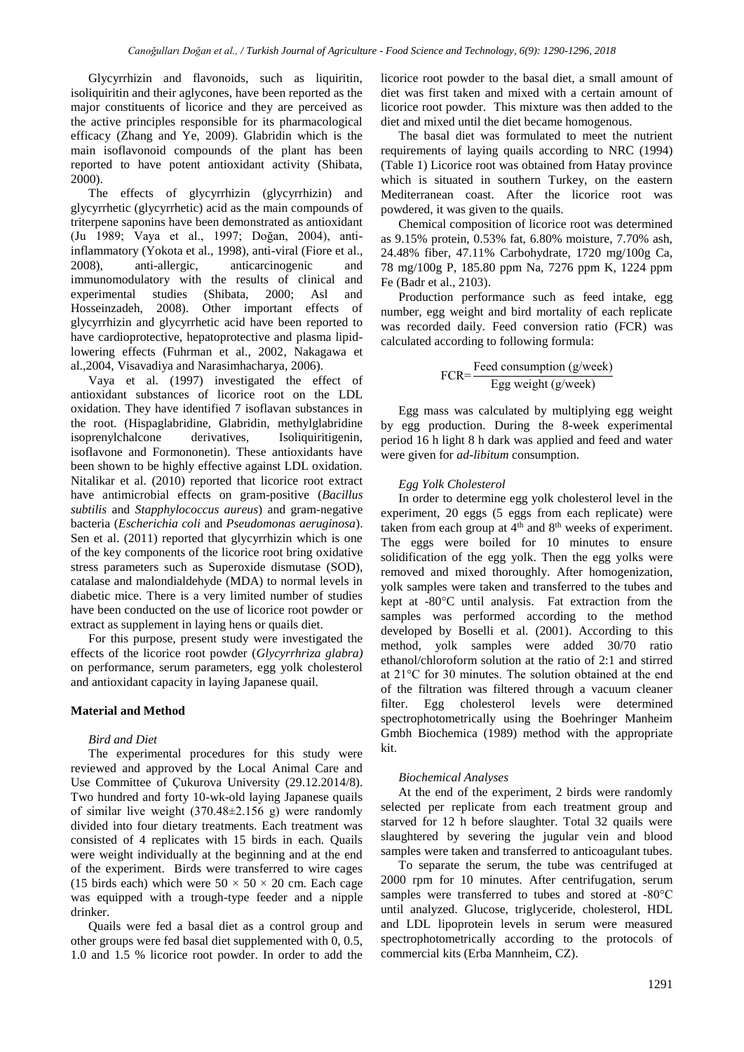Glycyrrhizin and flavonoids, such as liquiritin, isoliquiritin and their aglycones, have been reported as the major constituents of licorice and they are perceived as the active principles responsible for its pharmacological efficacy (Zhang and Ye, 2009). Glabridin which is the main isoflavonoid compounds of the plant has been reported to have potent antioxidant activity (Shibata, 2000).

The effects of glycyrrhizin (glycyrrhizin) and glycyrrhetic (glycyrrhetic) acid as the main compounds of triterpene saponins have been demonstrated as antioxidant (Ju 1989; Vaya et al., 1997; Doğan, 2004), antiinflammatory (Yokota et al., 1998), anti-viral (Fiore et al., 2008), anti-allergic, anticarcinogenic and immunomodulatory with the results of clinical and experimental studies (Shibata, 2000; Asl and Hosseinzadeh, 2008). Other important effects of glycyrrhizin and glycyrrhetic acid have been reported to have cardioprotective, hepatoprotective and plasma lipidlowering effects (Fuhrman et al., 2002, Nakagawa et al.,2004, Visavadiya and Narasimhacharya, 2006).

Vaya et al. (1997) investigated the effect of antioxidant substances of licorice root on the LDL oxidation. They have identified 7 isoflavan substances in the root. (Hispaglabridine, Glabridin, methylglabridine isoprenylchalcone derivatives, Isoliquiritigenin, isoflavone and Formononetin). These antioxidants have been shown to be highly effective against LDL oxidation. Nitalikar et al. (2010) reported that licorice root extract have antimicrobial effects on gram-positive (*Bacillus subtilis* and *Stapphylococcus aureus*) and gram-negative bacteria (*Escherichia coli* and *Pseudomonas aeruginosa*). Sen et al. (2011) reported that glycyrrhizin which is one of the key components of the licorice root bring oxidative stress parameters such as Superoxide dismutase (SOD), catalase and malondialdehyde (MDA) to normal levels in diabetic mice. There is a very limited number of studies have been conducted on the use of licorice root powder or extract as supplement in laying hens or quails diet.

For this purpose, present study were investigated the effects of the licorice root powder (*Glycyrrhriza glabra)* on performance, serum parameters, egg yolk cholesterol and antioxidant capacity in laying Japanese quail.

## **Material and Method**

## *Bird and Diet*

The experimental procedures for this study were reviewed and approved by the Local Animal Care and Use Committee of Çukurova University (29.12.2014/8). Two hundred and forty 10-wk-old laying Japanese quails of similar live weight (370.48±2.156 g) were randomly divided into four dietary treatments. Each treatment was consisted of 4 replicates with 15 birds in each. Quails were weight individually at the beginning and at the end of the experiment. Birds were transferred to wire cages (15 birds each) which were  $50 \times 50 \times 20$  cm. Each cage was equipped with a trough-type feeder and a nipple drinker.

Quails were fed a basal diet as a control group and other groups were fed basal diet supplemented with 0, 0.5, 1.0 and 1.5 % licorice root powder. In order to add the licorice root powder to the basal diet, a small amount of diet was first taken and mixed with a certain amount of licorice root powder. This mixture was then added to the diet and mixed until the diet became homogenous.

The basal diet was formulated to meet the nutrient requirements of laying quails according to NRC (1994) (Table 1) Licorice root was obtained from Hatay province which is situated in southern Turkey, on the eastern Mediterranean coast. After the licorice root was powdered, it was given to the quails.

Chemical composition of licorice root was determined as 9.15% protein, 0.53% fat, 6.80% moisture, 7.70% ash, 24.48% fiber, 47.11% Carbohydrate, 1720 mg/100g Ca, 78 mg/100g P, 185.80 ppm Na, 7276 ppm K, 1224 ppm Fe (Badr et al., 2103).

Production performance such as feed intake, egg number, egg weight and bird mortality of each replicate was recorded daily. Feed conversion ratio (FCR) was calculated according to following formula:

$$
FCR = \frac{Feed \ consumption (g/week)}{Egg \ weight (g/week)}
$$

Egg mass was calculated by multiplying egg weight by egg production. During the 8-week experimental period 16 h light 8 h dark was applied and feed and water were given for *ad-libitum* consumption.

# *Egg Yolk Cholesterol*

In order to determine egg yolk cholesterol level in the experiment, 20 eggs (5 eggs from each replicate) were taken from each group at  $4<sup>th</sup>$  and  $8<sup>th</sup>$  weeks of experiment. The eggs were boiled for 10 minutes to ensure solidification of the egg yolk. Then the egg yolks were removed and mixed thoroughly. After homogenization, yolk samples were taken and transferred to the tubes and kept at -80°C until analysis. Fat extraction from the samples was performed according to the method developed by Boselli et al. (2001). According to this method, yolk samples were added 30/70 ratio ethanol/chloroform solution at the ratio of 2:1 and stirred at 21°C for 30 minutes. The solution obtained at the end of the filtration was filtered through a vacuum cleaner filter. Egg cholesterol levels were determined spectrophotometrically using the Boehringer Manheim Gmbh Biochemica (1989) method with the appropriate kit.

#### *Biochemical Analyses*

At the end of the experiment, 2 birds were randomly selected per replicate from each treatment group and starved for 12 h before slaughter. Total 32 quails were slaughtered by severing the jugular vein and blood samples were taken and transferred to anticoagulant tubes.

To separate the serum, the tube was centrifuged at 2000 rpm for 10 minutes. After centrifugation, serum samples were transferred to tubes and stored at -80°C until analyzed. Glucose, triglyceride, cholesterol, HDL and LDL lipoprotein levels in serum were measured spectrophotometrically according to the protocols of commercial kits (Erba Mannheim, CZ).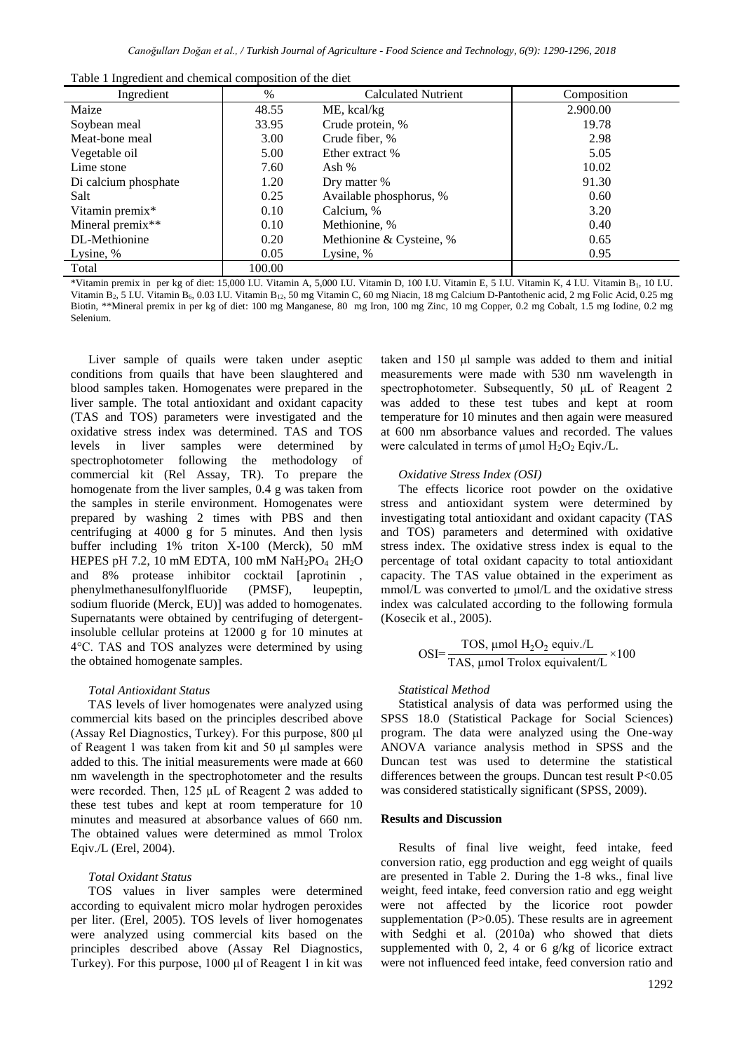| Table 1 Ingredient and chemical composition of the diet |  |  |  |
|---------------------------------------------------------|--|--|--|
|                                                         |  |  |  |

| Ingredient           | $\%$   | <b>Calculated Nutrient</b> | Composition |
|----------------------|--------|----------------------------|-------------|
| Maize                | 48.55  | ME, kcal/kg                | 2.900.00    |
| Soybean meal         | 33.95  | Crude protein, %           | 19.78       |
| Meat-bone meal       | 3.00   | Crude fiber, %             | 2.98        |
| Vegetable oil        | 5.00   | Ether extract %            | 5.05        |
| Lime stone           | 7.60   | Ash $%$                    | 10.02       |
| Di calcium phosphate | 1.20   | Dry matter %               | 91.30       |
| Salt                 | 0.25   | Available phosphorus, %    | 0.60        |
| Vitamin premix*      | 0.10   | Calcium, %                 | 3.20        |
| Mineral premix**     | 0.10   | Methionine, %              | 0.40        |
| DL-Methionine        | 0.20   | Methionine & Cysteine, %   | 0.65        |
| Lysine, %            | 0.05   | Lysine, %                  | 0.95        |
| Total                | 100.00 |                            |             |

\*Vitamin premix in per kg of diet: 15,000 I.U. Vitamin A, 5,000 I.U. Vitamin D, 100 I.U. Vitamin E, 5 I.U. Vitamin K, 4 I.U. Vitamin B1, 10 I.U. Vitamin B<sub>2</sub>, 5 LU. Vitamin B<sub>6</sub>, 0.03 LU. Vitamin B<sub>12</sub>, 50 mg Vitamin C, 60 mg Niacin, 18 mg Calcium D-Pantothenic acid, 2 mg Folic Acid, 0.25 mg Biotin, \*\*Mineral premix in per kg of diet: 100 mg Manganese, 80 mg Iron, 100 mg Zinc, 10 mg Copper, 0.2 mg Cobalt, 1.5 mg Iodine, 0.2 mg Selenium.

Liver sample of quails were taken under aseptic conditions from quails that have been slaughtered and blood samples taken. Homogenates were prepared in the liver sample. The total antioxidant and oxidant capacity (TAS and TOS) parameters were investigated and the oxidative stress index was determined. TAS and TOS levels in liver samples were determined by spectrophotometer following the methodology of commercial kit (Rel Assay, TR). To prepare the homogenate from the liver samples, 0.4 g was taken from the samples in sterile environment. Homogenates were prepared by washing 2 times with PBS and then centrifuging at 4000 g for 5 minutes. And then lysis buffer including 1% triton X-100 (Merck), 50 mM HEPES pH 7.2, 10 mM EDTA, 100 mM  $NaH_2PO_4$  2H<sub>2</sub>O and 8% protease inhibitor cocktail [aprotinin , phenylmethanesulfonylfluoride (PMSF), leupeptin, sodium fluoride (Merck, EU)] was added to homogenates. Supernatants were obtained by centrifuging of detergentinsoluble cellular proteins at 12000 g for 10 minutes at 4°C. TAS and TOS analyzes were determined by using the obtained homogenate samples.

# *Total Antioxidant Status*

TAS levels of liver homogenates were analyzed using commercial kits based on the principles described above (Assay Rel Diagnostics, Turkey). For this purpose, 800 μl of Reagent 1 was taken from kit and 50 μl samples were added to this. The initial measurements were made at 660 nm wavelength in the spectrophotometer and the results were recorded. Then, 125 μL of Reagent 2 was added to these test tubes and kept at room temperature for 10 minutes and measured at absorbance values of 660 nm. The obtained values were determined as mmol Trolox Eqiv./L (Erel, 2004).

#### *Total Oxidant Status*

TOS values in liver samples were determined according to equivalent micro molar hydrogen peroxides per liter. (Erel, 2005). TOS levels of liver homogenates were analyzed using commercial kits based on the principles described above (Assay Rel Diagnostics, Turkey). For this purpose, 1000 μl of Reagent 1 in kit was taken and 150 μl sample was added to them and initial measurements were made with 530 nm wavelength in spectrophotometer. Subsequently, 50 μL of Reagent 2 was added to these test tubes and kept at room temperature for 10 minutes and then again were measured at 600 nm absorbance values and recorded. The values were calculated in terms of umol  $H_2O_2$  Eqiv./L.

#### *Oxidative Stress Index (OSI)*

The effects licorice root powder on the oxidative stress and antioxidant system were determined by investigating total antioxidant and oxidant capacity (TAS and TOS) parameters and determined with oxidative stress index. The oxidative stress index is equal to the percentage of total oxidant capacity to total antioxidant capacity. The TAS value obtained in the experiment as mmol/L was converted to μmol/L and the oxidative stress index was calculated according to the following formula (Kosecik et al., 2005).

$$
OSI = \frac{TOS, \mu mol H_2O_2 \text{ equiv.}/L}{TAS, \mu mol Trolox equivalent/L} \times 100
$$

## *Statistical Method*

Statistical analysis of data was performed using the SPSS 18.0 (Statistical Package for Social Sciences) program. The data were analyzed using the One-way ANOVA variance analysis method in SPSS and the Duncan test was used to determine the statistical differences between the groups. Duncan test result P<0.05 was considered statistically significant (SPSS, 2009).

#### **Results and Discussion**

Results of final live weight, feed intake, feed conversion ratio, egg production and egg weight of quails are presented in Table 2. During the 1-8 wks., final live weight, feed intake, feed conversion ratio and egg weight were not affected by the licorice root powder supplementation (P>0.05). These results are in agreement with Sedghi et al. (2010a) who showed that diets supplemented with 0, 2, 4 or 6 g/kg of licorice extract were not influenced feed intake, feed conversion ratio and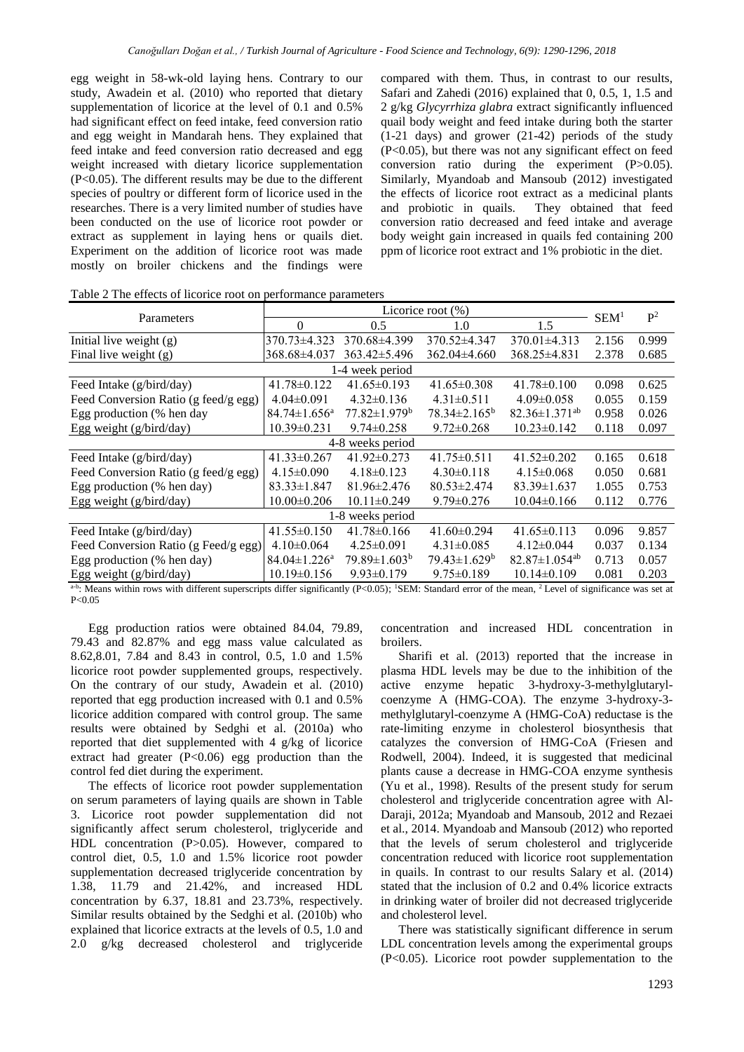egg weight in 58-wk-old laying hens. Contrary to our study, Awadein et al. (2010) who reported that dietary supplementation of licorice at the level of 0.1 and 0.5% had significant effect on feed intake, feed conversion ratio and egg weight in Mandarah hens. They explained that feed intake and feed conversion ratio decreased and egg weight increased with dietary licorice supplementation (P<0.05). The different results may be due to the different species of poultry or different form of licorice used in the researches. There is a very limited number of studies have been conducted on the use of licorice root powder or extract as supplement in laying hens or quails diet. Experiment on the addition of licorice root was made mostly on broiler chickens and the findings were

compared with them. Thus, in contrast to our results, Safari and Zahedi (2016) explained that 0, 0.5, 1, 1.5 and 2 g/kg *Glycyrrhiza glabra* extract significantly influenced quail body weight and feed intake during both the starter (1-21 days) and grower (21-42) periods of the study (P<0.05), but there was not any significant effect on feed conversion ratio during the experiment (P>0.05). Similarly, Myandoab and Mansoub (2012) investigated the effects of licorice root extract as a medicinal plants and probiotic in quails. They obtained that feed conversion ratio decreased and feed intake and average body weight gain increased in quails fed containing 200 ppm of licorice root extract and 1% probiotic in the diet.

| Parameters                           | Licorice root $(\%)$           |                                |                     |                                 | SEM <sup>1</sup> | $\mathbf{P}^2$ |
|--------------------------------------|--------------------------------|--------------------------------|---------------------|---------------------------------|------------------|----------------|
|                                      | $\Omega$                       | 0.5                            | 1.0                 | 1.5                             |                  |                |
| Initial live weight (g)              | 370.73±4.323                   | 370.68±4.399                   | 370.52±4.347        | $370.01 \pm 4.313$              | 2.156            | 0.999          |
| Final live weight $(g)$              | 368.68±4.037                   | $363.42 \pm 5.496$             | $362.04\pm4.660$    | 368.25±4.831                    | 2.378            | 0.685          |
|                                      |                                | 1-4 week period                |                     |                                 |                  |                |
| Feed Intake (g/bird/day)             | 41.78±0.122                    | $41.65 \pm 0.193$              | $41.65 \pm 0.308$   | $41.78 \pm 0.100$               | 0.098            | 0.625          |
| Feed Conversion Ratio (g feed/g egg) | $4.04 \pm 0.091$               | $4.32\pm0.136$                 | $4.31 \pm 0.511$    | $4.09 \pm 0.058$                | 0.055            | 0.159          |
| Egg production (% hen day            | $84.74 \pm 1.656^{\mathrm{a}}$ | $77.82 \pm 1.979$ <sup>b</sup> | $78.34 \pm 2.165^b$ | $82.36 \pm 1.371$ <sup>ab</sup> | 0.958            | 0.026          |
| Egg weight (g/bird/day)              | $10.39 \pm 0.231$              | $9.74 \pm 0.258$               | $9.72 \pm 0.268$    | $10.23 \pm 0.142$               | 0.118            | 0.097          |
|                                      |                                | 4-8 weeks period               |                     |                                 |                  |                |
| Feed Intake (g/bird/day)             | $41.33 \pm 0.267$              | $41.92 \pm 0.273$              | $41.75 \pm 0.511$   | $41.52 \pm 0.202$               | 0.165            | 0.618          |
| Feed Conversion Ratio (g feed/g egg) | $4.15 \pm 0.090$               | $4.18\pm0.123$                 | $4.30\pm0.118$      | $4.15 \pm 0.068$                | 0.050            | 0.681          |
| Egg production (% hen day)           | $83.33 \pm 1.847$              | $81.96 \pm 2.476$              | $80.53 \pm 2.474$   | $83.39 \pm 1.637$               | 1.055            | 0.753          |
| Egg weight (g/bird/day)              | $10.00 \pm 0.206$              | $10.11 \pm 0.249$              | $9.79 \pm 0.276$    | $10.04\pm0.166$                 | 0.112            | 0.776          |
|                                      |                                | 1-8 weeks period               |                     |                                 |                  |                |
| Feed Intake (g/bird/day)             | $41.55 \pm 0.150$              | $41.78 \pm 0.166$              | $41.60 \pm 0.294$   | $41.65 \pm 0.113$               | 0.096            | 9.857          |
| Feed Conversion Ratio (g Feed/g egg) | $4.10\pm0.064$                 | $4.25 \pm 0.091$               | $4.31 \pm 0.085$    | $4.12 \pm 0.044$                | 0.037            | 0.134          |
| Egg production (% hen day)           | $84.04 \pm 1.226^{\mathrm{a}}$ | $79.89 \pm 1.603^b$            | $79.43 \pm 1.629^b$ | $82.87 \pm 1.054$ <sup>ab</sup> | 0.713            | 0.057          |
| Egg weight (g/bird/day)              | $10.19\pm0.156$                | $9.93 \pm 0.179$               | $9.75 \pm 0.189$    | $10.14 \pm 0.109$               | 0.081            | 0.203          |

Table 2 The effects of licorice root on performance parameters

 $a$ -b: Means within rows with different superscripts differ significantly (P<0.05); <sup>1</sup>SEM: Standard error of the mean, <sup>2</sup> Level of significance was set at  $P < 0.05$ 

Egg production ratios were obtained 84.04, 79.89, 79.43 and 82.87% and egg mass value calculated as 8.62,8.01, 7.84 and 8.43 in control, 0.5, 1.0 and 1.5% licorice root powder supplemented groups, respectively. On the contrary of our study, Awadein et al. (2010) reported that egg production increased with 0.1 and 0.5% licorice addition compared with control group. The same results were obtained by Sedghi et al*.* (2010a) who reported that diet supplemented with 4 g/kg of licorice extract had greater  $(P<0.06)$  egg production than the control fed diet during the experiment.

The effects of licorice root powder supplementation on serum parameters of laying quails are shown in Table 3. Licorice root powder supplementation did not significantly affect serum cholesterol, triglyceride and HDL concentration (P>0.05). However, compared to control diet, 0.5, 1.0 and 1.5% licorice root powder supplementation decreased triglyceride concentration by 1.38, 11.79 and 21.42%, and increased HDL concentration by 6.37, 18.81 and 23.73%, respectively. Similar results obtained by the Sedghi et al. (2010b) who explained that licorice extracts at the levels of 0.5, 1.0 and 2.0 g/kg decreased cholesterol and triglyceride concentration and increased HDL concentration in broilers.

Sharifi et al. (2013) reported that the increase in plasma HDL levels may be due to the inhibition of the active enzyme hepatic 3-hydroxy-3-methylglutarylcoenzyme A (HMG-COA). The enzyme 3-hydroxy-3 methylglutaryl-coenzyme A (HMG-CoA) reductase is the rate-limiting enzyme in cholesterol biosynthesis that catalyzes the conversion of HMG-CoA (Friesen and Rodwell, 2004). Indeed, it is suggested that medicinal plants cause a decrease in HMG-COA enzyme synthesis (Yu et al., 1998). Results of the present study for serum cholesterol and triglyceride concentration agree with Al-Daraji, 2012a; Myandoab and Mansoub, 2012 and Rezaei et al., 2014. Myandoab and Mansoub (2012) who reported that the levels of serum cholesterol and triglyceride concentration reduced with licorice root supplementation in quails. In contrast to our results Salary et al. (2014) stated that the inclusion of 0.2 and 0.4% licorice extracts in drinking water of broiler did not decreased triglyceride and cholesterol level.

There was statistically significant difference in serum LDL concentration levels among the experimental groups (P<0.05). Licorice root powder supplementation to the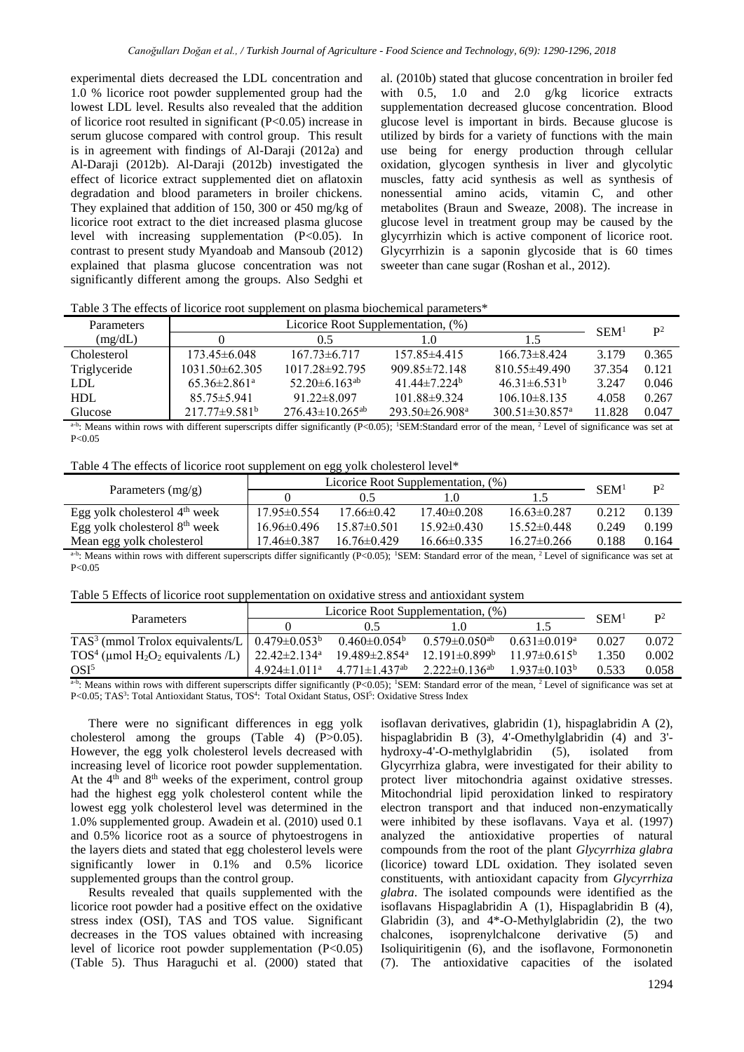experimental diets decreased the LDL concentration and 1.0 % licorice root powder supplemented group had the lowest LDL level. Results also revealed that the addition of licorice root resulted in significant (P<0.05) increase in serum glucose compared with control group. This result is in agreement with findings of Al-Daraji (2012a) and Al-Daraji (2012b). Al-Daraji (2012b) investigated the effect of licorice extract supplemented diet on aflatoxin degradation and blood parameters in broiler chickens. They explained that addition of 150, 300 or 450 mg/kg of licorice root extract to the diet increased plasma glucose level with increasing supplementation (P<0.05). In contrast to present study Myandoab and Mansoub (2012) explained that plasma glucose concentration was not significantly different among the groups. Also Sedghi et

al. (2010b) stated that glucose concentration in broiler fed with 0.5, 1.0 and 2.0 g/kg licorice extracts supplementation decreased glucose concentration. Blood glucose level is important in birds. Because glucose is utilized by birds for a variety of functions with the main use being for energy production through cellular oxidation, glycogen synthesis in liver and glycolytic muscles, fatty acid synthesis as well as synthesis of nonessential amino acids, vitamin C, and other metabolites (Braun and Sweaze, 2008). The increase in glucose level in treatment group may be caused by the glycyrrhizin which is active component of licorice root. Glycyrrhizin is a saponin glycoside that is 60 times sweeter than cane sugar (Roshan et al., 2012).

| Table 3 The effects of licorice root supplement on plasma biochemical parameters <sup>*</sup> |  |  |
|-----------------------------------------------------------------------------------------------|--|--|
|                                                                                               |  |  |

| <b>Parameters</b> |                                 | SEM <sup>1</sup>                  | $\mathbf{p}^2$                 |                                  |        |       |
|-------------------|---------------------------------|-----------------------------------|--------------------------------|----------------------------------|--------|-------|
| (mg/dL)           |                                 | () 5                              | 1.0                            |                                  |        |       |
| Cholesterol       | $173.45 \pm 6.048$              | $167.73\pm 6.717$                 | $157.85\pm4.415$               | $166.73\pm8.424$                 | 3.179  | 0.365 |
| Triglyceride      | $1031.50\pm 62.305$             | $1017.28 \pm 92.795$              | $909.85 \pm 72.148$            | $810.55\pm49.490$                | 37.354 | 0.121 |
| <b>LDL</b>        | $65.36 \pm 2.861$ <sup>a</sup>  | $52.20\pm 6.163$ <sup>ab</sup>    | 41.44 $\pm$ 7.224 <sup>b</sup> | $46.31 \pm 6.531^{\circ}$        | 3.247  | 0.046 |
| <b>HDL</b>        | $85.75 \pm 5.941$               | $91.22 \pm 8.097$                 | $101.88\pm9.324$               | $106.10\pm8.135$                 | 4.058  | 0.267 |
| Glucose           | $217.77 \pm 9.581^{\mathrm{b}}$ | $276.43 \pm 10.265$ <sup>ab</sup> | $293.50 \pm 26.908^a$          | $300.51 \pm 30.857$ <sup>a</sup> | 11.828 | 0.047 |

 $a$ -b: Means within rows with different superscripts differ significantly (P<0.05); <sup>1</sup>SEM:Standard error of the mean, <sup>2</sup> Level of significance was set at  $P < 0.05$ 

Table 4 The effects of licorice root supplement on egg yolk cholesterol level\*

|                                           | Licorice Root Supplementation, (%) |                   |                   |                   |                  | $\mathbf{p}^2$ |
|-------------------------------------------|------------------------------------|-------------------|-------------------|-------------------|------------------|----------------|
| Parameters $(mg/g)$                       |                                    | 0.5               |                   |                   | SEM <sup>1</sup> |                |
| Egg yolk cholesterol $4th$ week           | $17.95\pm 0.554$                   | $17.66\pm0.42$    | $17.40 \pm 0.208$ | $16.63\pm0.287$   | 0.212            | 0.139          |
| Egg yolk cholesterol $8th$ week           | $16.96 \pm 0.496$                  | $15.87 \pm 0.501$ | $15.92 \pm 0.430$ | $15.52 \pm 0.448$ | 0.249            | 0.199          |
| Mean egg yolk cholesterol                 | 17.46±0.387                        | $16.76 \pm 0.429$ | $16.66 \pm 0.335$ | $16.27 \pm 0.266$ | 0.188            | 0.164          |
| $h \rightarrow e$<br>$\cdots$<br>$\cdots$ |                                    |                   |                   | $\sim$ $\sim$     |                  |                |

 $a$ -b: Means within rows with different superscripts differ significantly (P<0.05); <sup>1</sup>SEM: Standard error of the mean, <sup>2</sup> Level of significance was set at  $P < 0.05$ 

|  |  |  | Table 5 Effects of licorice root supplementation on oxidative stress and antioxidant system |  |
|--|--|--|---------------------------------------------------------------------------------------------|--|
|  |  |  |                                                                                             |  |

|                                                                                                       | Licorice Root Supplementation, (%) |                                 |                                 |                           |                  | $\mathbf{p}^2$ |
|-------------------------------------------------------------------------------------------------------|------------------------------------|---------------------------------|---------------------------------|---------------------------|------------------|----------------|
| Parameters                                                                                            |                                    |                                 |                                 |                           | SEM <sup>1</sup> |                |
| TAS <sup>3</sup> (mmol Trolox equivalents/L   $0.479 \pm 0.053^b$                                     |                                    | $0.460 \pm 0.054$ <sup>b</sup>  | $0.579 \pm 0.050^{\mathrm{ab}}$ | $0.631 \pm 0.019^a$       | 0.027            | 0.072          |
| TOS <sup>4</sup> (µmol H <sub>2</sub> O <sub>2</sub> equivalents /L)   22.42 $\pm$ 2.134 <sup>a</sup> |                                    | $19.489 \pm 2.854$ <sup>a</sup> | $12.191 \pm 0.899^b$            | $11.97 \pm 0.615^{\circ}$ | 1 350            | 0.002          |
| OSI <sup>5</sup>                                                                                      | $4.924 \pm 1.011$ <sup>a</sup>     | $4.771 \pm 1.437$ ab            | $2.222 \pm 0.136$ <sup>ab</sup> | $1.937 \pm 0.103^b$       | 0.533            | 0.058          |

 $a$ -b: Means within rows with different superscripts differ significantly (P<0.05); <sup>1</sup>SEM: Standard error of the mean, <sup>2</sup> Level of significance was set at P<0.05; TAS<sup>3</sup>: Total Antioxidant Status, TOS<sup>4</sup>: Total Oxidant Status, OSI<sup>5</sup>: Oxidative Stress Index

There were no significant differences in egg yolk cholesterol among the groups (Table 4) (P>0.05). However, the egg yolk cholesterol levels decreased with increasing level of licorice root powder supplementation. At the  $4<sup>th</sup>$  and  $8<sup>th</sup>$  weeks of the experiment, control group had the highest egg yolk cholesterol content while the lowest egg yolk cholesterol level was determined in the 1.0% supplemented group. Awadein et al. (2010) used 0.1 and 0.5% licorice root as a source of phytoestrogens in the layers diets and stated that egg cholesterol levels were significantly lower in 0.1% and 0.5% licorice supplemented groups than the control group.

Results revealed that quails supplemented with the licorice root powder had a positive effect on the oxidative stress index (OSI), TAS and TOS value. Significant decreases in the TOS values obtained with increasing level of licorice root powder supplementation  $(P<0.05)$ (Table 5). Thus Haraguchi et al. (2000) stated that isoflavan derivatives, glabridin (1), hispaglabridin A (2), hispaglabridin B (3), 4'-Omethylglabridin (4) and 3' hydroxy-4'-O-methylglabridin (5), isolated from Glycyrrhiza glabra, were investigated for their ability to protect liver mitochondria against oxidative stresses. Mitochondrial lipid peroxidation linked to respiratory electron transport and that induced non-enzymatically were inhibited by these isoflavans. Vaya et al. (1997) analyzed the antioxidative properties of natural compounds from the root of the plant *Glycyrrhiza glabra* (licorice) toward LDL oxidation. They isolated seven constituents, with antioxidant capacity from *Glycyrrhiza glabra*. The isolated compounds were identified as the isoflavans Hispaglabridin A (1), Hispaglabridin B (4), Glabridin (3), and 4\*-O-Methylglabridin (2), the two chalcones, isoprenylchalcone derivative (5) and Isoliquiritigenin (6), and the isoflavone, Formononetin (7). The antioxidative capacities of the isolated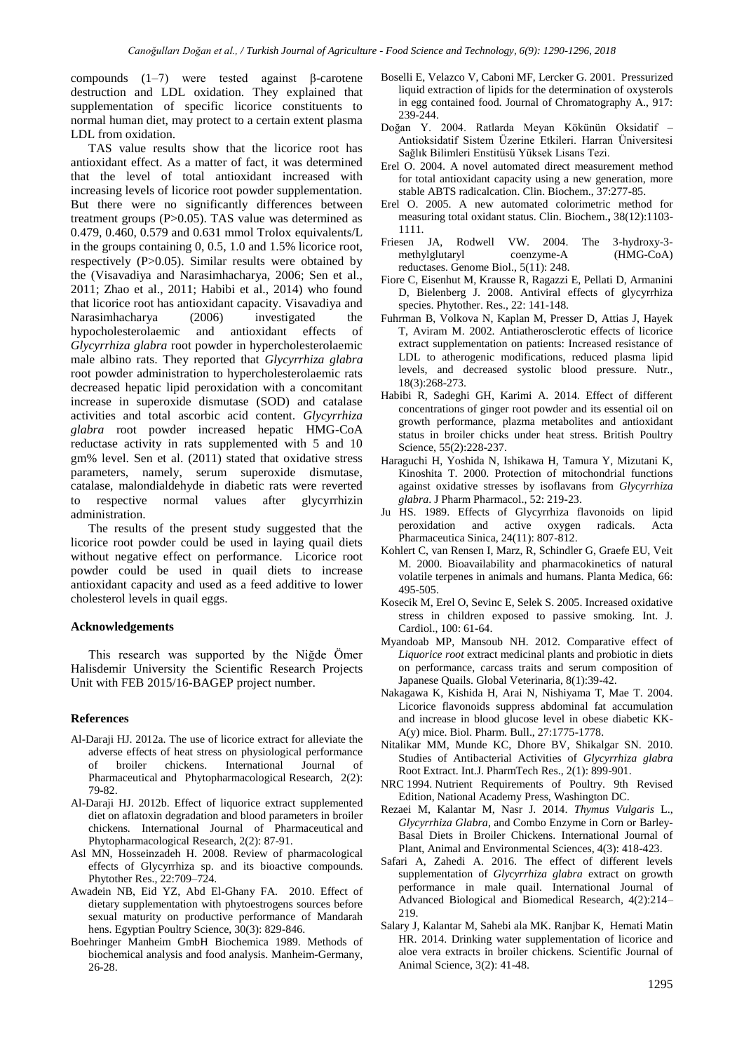compounds (1–7) were tested against β-carotene destruction and LDL oxidation. They explained that supplementation of specific licorice constituents to normal human diet, may protect to a certain extent plasma LDL from oxidation.

TAS value results show that the licorice root has antioxidant effect. As a matter of fact, it was determined that the level of total antioxidant increased with increasing levels of licorice root powder supplementation. But there were no significantly differences between treatment groups (P>0.05). TAS value was determined as 0.479, 0.460, 0.579 and 0.631 mmol Trolox equivalents/L in the groups containing 0, 0.5, 1.0 and 1.5% licorice root, respectively (P>0.05). Similar results were obtained by the (Visavadiya and Narasimhacharya, 2006; Sen et al., 2011; Zhao et al., 2011; Habibi et al., 2014) who found that licorice root has antioxidant capacity. Visavadiya and Narasimhacharya (2006) investigated the hypocholesterolaemic and antioxidant effects of *Glycyrrhiza glabra* root powder in hypercholesterolaemic male albino rats. They reported that *Glycyrrhiza glabra* root powder administration to hypercholesterolaemic rats decreased hepatic lipid peroxidation with a concomitant increase in superoxide dismutase (SOD) and catalase activities and total ascorbic acid content. *Glycyrrhiza glabra* root powder increased hepatic HMG-CoA reductase activity in rats supplemented with 5 and 10 gm% level. Sen et al. (2011) stated that oxidative stress parameters, namely, serum superoxide dismutase, catalase, malondialdehyde in diabetic rats were reverted to respective normal values after glycyrrhizin administration.

The results of the present study suggested that the licorice root powder could be used in laying quail diets without negative effect on performance. Licorice root powder could be used in quail diets to increase antioxidant capacity and used as a feed additive to lower cholesterol levels in quail eggs.

### **Acknowledgements**

This research was supported by the Niğde Ömer Halisdemir University the Scientific Research Projects Unit with FEB 2015/16-BAGEP project number.

## **References**

- Al-Daraji HJ. 2012a. The use of licorice extract for alleviate the adverse effects of heat stress on physiological performance of broiler chickens. International Journal of Pharmaceutical and Phytopharmacological Research*,* 2(2): 79-82.
- Al-Daraji HJ. 2012b. Effect of liquorice extract supplemented diet on aflatoxin degradation and blood parameters in broiler chickens*.* International Journal of Pharmaceutical and Phytopharmacological Research, 2(2): 87-91.
- Asl MN, Hosseinzadeh H. 2008. Review of pharmacological effects of Glycyrrhiza sp. and its bioactive compounds. Phytother Res., 22:709–724.
- Awadein NB, Eid YZ, Abd El-Ghany FA. 2010. Effect of dietary supplementation with phytoestrogens sources before sexual maturity on productive performance of Mandarah hens. Egyptian Poultry Science, 30(3): 829-846.
- Boehringer Manheim GmbH Biochemica 1989. Methods of biochemical analysis and food analysis. Manheim-Germany, 26-28.
- Boselli E, Velazco V, Caboni MF, Lercker G. 2001. Pressurized liquid extraction of lipids for the determination of oxysterols in egg contained food. Journal of Chromatography A., 917: 239-244.
- Doğan Y. 2004. Ratlarda Meyan Kökünün Oksidatif Antioksidatif Sistem Üzerine Etkileri. Harran Üniversitesi Sağlık Bilimleri Enstitüsü Yüksek Lisans Tezi.
- Erel O. 2004. A novel automated direct measurement method for total antioxidant capacity using a new generation, more stable ABTS radicalcation. Clin. Biochem., 37:277-85.
- Erel O. 2005. A new automated colorimetric method for measuring total oxidant status. Clin. Biochem.**,** 38(12):1103- 1111.
- Friesen JA, Rodwell VW. 2004. The 3-hydroxy-3 methylglutaryl coenzyme-A (HMG-CoA) reductases. Genome Biol., 5(11): 248.
- Fiore C, Eisenhut M, Krausse R, Ragazzi E, Pellati D, Armanini D, Bielenberg J. 2008. Antiviral effects of glycyrrhiza species. Phytother. Res., 22: 141-148.
- Fuhrman B, Volkova N, Kaplan M, Presser D, Attias J, Hayek T, Aviram M. 2002. Antiatherosclerotic effects of licorice extract supplementation on patients: Increased resistance of LDL to atherogenic modifications, reduced plasma lipid levels, and decreased systolic blood pressure. Nutr., 18(3):268-273.
- Habibi R, Sadeghi GH, Karimi A. 2014. Effect of different concentrations of ginger root powder and its essential oil on growth performance, plazma metabolites and antioxidant status in broiler chicks under heat stress. British Poultry Science, 55(2):228-237.
- Haraguchi H, Yoshida N, Ishikawa H, Tamura Y, Mizutani K, Kinoshita T. 2000. Protection of mitochondrial functions against oxidative stresses by isoflavans from *Glycyrrhiza glabra*. J Pharm Pharmacol., 52: 219-23.
- Ju HS. 1989. Effects of Glycyrrhiza flavonoids on lipid peroxidation and active oxygen radicals. Acta Pharmaceutica Sinica, 24(11): 807-812.
- Kohlert C, van Rensen I, Marz, R, Schindler G, Graefe EU, Veit M. 2000. Bioavailability and pharmacokinetics of natural volatile terpenes in animals and humans. Planta Medica, 66: 495-505.
- Kosecik M, Erel O, Sevinc E, Selek S. 2005. Increased oxidative stress in children exposed to passive smoking. Int. J. Cardiol., 100: 61-64.
- Myandoab MP, Mansoub NH. 2012. Comparative effect of *Liquorice root* extract medicinal plants and probiotic in diets on performance, carcass traits and serum composition of Japanese Quails. Global Veterinaria, 8(1):39-42.
- Nakagawa K, Kishida H, Arai N, Nishiyama T, Mae T. 2004. Licorice flavonoids suppress abdominal fat accumulation and increase in blood glucose level in obese diabetic KK-A(y) mice. Biol. Pharm. Bull., 27:1775-1778.
- Nitalikar MM, Munde KC, Dhore BV, Shikalgar SN. 2010. Studies of Antibacterial Activities of *Glycyrrhiza glabra* Root Extract. Int.J. PharmTech Res., 2(1): 899-901.
- NRC 1994. Nutrient Requirements of Poultry. 9th Revised Edition, National Academy Press, Washington DC.
- Rezaei M, Kalantar M, Nasr J. 2014. *Thymus Vulgaris* L., *Glycyrrhiza Glabra*, and Combo Enzyme in Corn or Barley-Basal Diets in Broiler Chickens. International Journal of Plant, Animal and Environmental Sciences, 4(3): 418-423.
- Safari A, Zahedi A. 2016. The effect of different levels supplementation of *Glycyrrhiza glabra* extract on growth performance in male quail. International Journal of Advanced Biological and Biomedical Research, 4(2):214– 219.
- Salary J, Kalantar M, Sahebi ala MK. Ranjbar K, Hemati Matin HR. 2014. Drinking water supplementation of licorice and aloe vera extracts in broiler chickens. Scientific Journal of Animal Science, 3(2): 41-48.